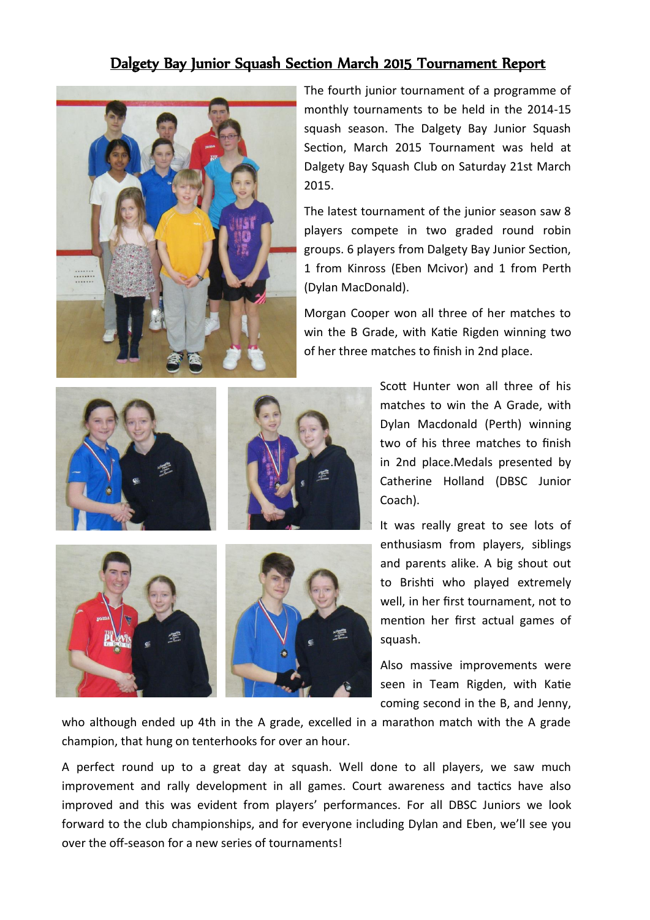## Dalgety Bay Junior Squash Section March 2015 Tournament Report



The fourth junior tournament of a programme of monthly tournaments to be held in the 2014-15 squash season. The Dalgety Bay Junior Squash Section, March 2015 Tournament was held at Dalgety Bay Squash Club on Saturday 21st March 2015.

The latest tournament of the junior season saw 8 players compete in two graded round robin groups. 6 players from Dalgety Bay Junior Section, 1 from Kinross (Eben Mcivor) and 1 from Perth (Dylan MacDonald).

Morgan Cooper won all three of her matches to win the B Grade, with Katie Rigden winning two of her three matches to finish in 2nd place.



Scott Hunter won all three of his matches to win the A Grade, with Dylan Macdonald (Perth) winning two of his three matches to finish in 2nd place.Medals presented by Catherine Holland (DBSC Junior Coach).

It was really great to see lots of enthusiasm from players, siblings and parents alike. A big shout out to Brishti who played extremely well, in her first tournament, not to mention her first actual games of squash.

Also massive improvements were seen in Team Rigden, with Katie coming second in the B, and Jenny,

who although ended up 4th in the A grade, excelled in a marathon match with the A grade champion, that hung on tenterhooks for over an hour.

A perfect round up to a great day at squash. Well done to all players, we saw much improvement and rally development in all games. Court awareness and tactics have also improved and this was evident from players' performances. For all DBSC Juniors we look forward to the club championships, and for everyone including Dylan and Eben, we'll see you over the off-season for a new series of tournaments!